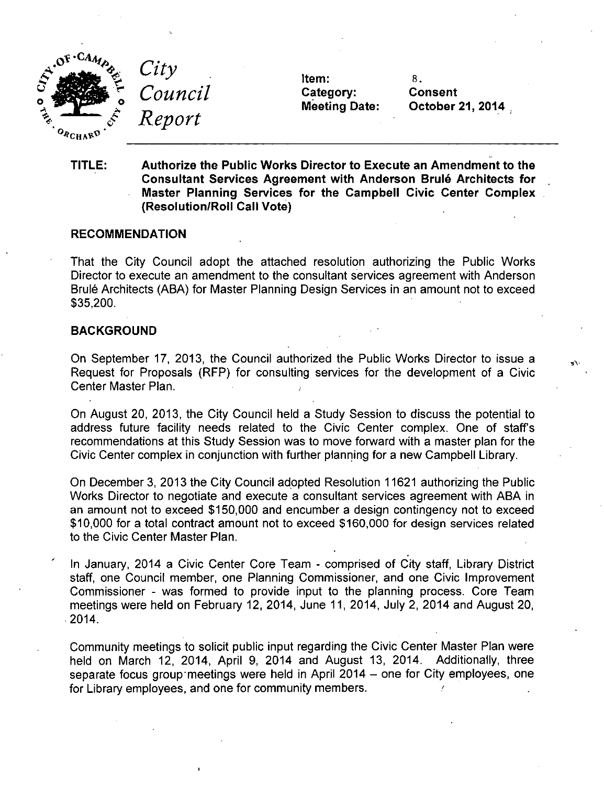

City Council Report

Item Category Meeting Date

8 Consent October 21, 2014

y

TITLE: Authorize the Public Works Director to Execute an Amendment to the Consultant Services Agreement with Anderson Brulé Architects for<br>Master Planning Services for the Campbell Civic Center Complex<br>(Resolution/Roll Call Vote) Master Planning Services for the Campbell Civic Center Complex

### RECOMMENDATION

That the City Council adopt the attached resolution authorizing the Public Works Director to execute an amendment to the consultant services agreement with Anderson Brulé Architects (ABA) for Master Planning Design Services agreement with Anderson<br>\$35,200.

### BACKGROUND

On September 17, 2013, the Council authorized the Public Works Director to issue a Request for Proposals (RFP) for consulting services for the development of a Civic Center Master Plan

On August 20, 2013, the City Council held a Study Session to discuss the potential to address future facility needs related to the Civic Center complex. One of staff's recommendations at this Study Session was to move forward with <sup>a</sup> master plan for the Civic Center complex in conjunction with further planning for a new Campbell Library

On December 3, 2013 the City Council adopted Resolution 11621 authorizing the Public Works Director to negotiate and execute <sup>a</sup> consultant services agreement with ABA in Works Director to negotiate and execute a consultant services agreement with ABA in<br>an amount not to exceed \$150,000 and encumber a design contingency not to exceed<br>. 10000 for a total contract amount not to exceed \$160,000 for design services related<br>\$10,000 for a total contract amount not to exceed \$160,000 for design services related<br>to the Civic Conter Mester Plan to the Civic Center Master Plan

In January, 2014 a Civic Center Core Team - comprised of City staff, Library District staff, one Council member, one Planning Commissioner, and one Civic Improvement Commissioner - was formed to provide input to the planning process. Core Team meetings were held on February 12, 2014, June 11, 2014, July 2, 2014 and August 20, 2014

Community meetings to solicit public input regarding the Civic Center Master Plan were held on March 12, 2014, April 9, 2014 and August 13, 2014. Additionally, three separate focus group meetings were held in April  $2014 -$  one for City employees, one for Library employees, and one for community members.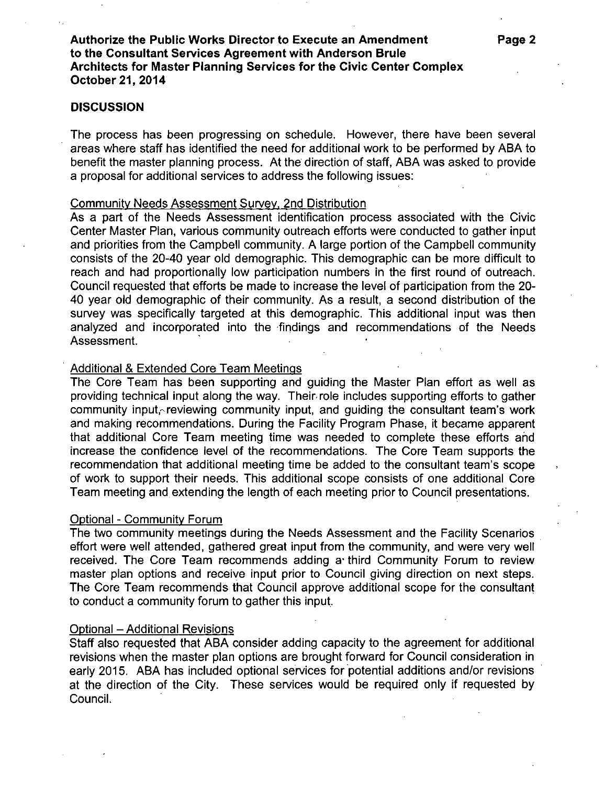## **DISCUSSION**

The process has been progressing on schedule. However, there have been several areas where staff has identified the need for additional work to be performed by ABA to benefit the master planning process. At the direction of staff, ABA was asked to provide <sup>a</sup> proposal for additional services to address the following issues

### Community Needs Assessment Survey, 2nd Distribution

As <sup>a</sup> part of the Needs Assessment identification process associated with the Civic Center Master Plan, various community outreach efforts were conducted to gather input and priorities from the Campbell community. A large portion of the Campbell community consists of the 20-40 year old demographic. This demographic can be more difficult to reach and had proportionally low participation numbers in the first round of outreach Council requested that efforts be made to increase the level of participation from the 20 40 year old demographic of their community. As a result, a second distribution of the survey was specifically targeted at this demographic. This additional input was then analyzed and incorporated into the findings and recommendations of the Needs Assessment

#### Additional & Extended Core Team Meetings

The Core Team has been supporting and guiding the Master Plan effort as well as providing technical input along the way. Their role includes supporting efforts to gather community input, reviewing community input, and guiding the consultant team's work and making recommendations. During the Facility Program Phase, it became apparent that additional Core Team meeting time was needed to complete these efforts and increase the confidence level of the recommendations. The Core Team supports the and making recommendations. During the Facility Program Phase, it became apparent that additional Core Team meeting time was needed to complete these efforts and increase the confidence level of the recommendations. The Co of work to support their needs. This additional scope consists of one additional Core Team meeting and extending the length of each meeting prior to Council presentations

### Optional - Community Forum

The two community meetings during the Needs Assessment and the Facility Scenarios effort were well attended, gathered great input from the community, and were very well received. The Core Team recommends adding a third Community Forum to review master plan options and receive input prior to Council giving direction on next steps The Core Team recommends that Council approve additional scope for the consultant to conduct a community forum to gather this input

### Optional Additional Revisions

Staff also requested that ABA consider adding capacity to the agreement for additional revisions when the master plan options are brought forward for Council consideration in early 2015. ABA has included optional services for potential additions and/or revisions at the direction of the City. These services would be required only if requested by Council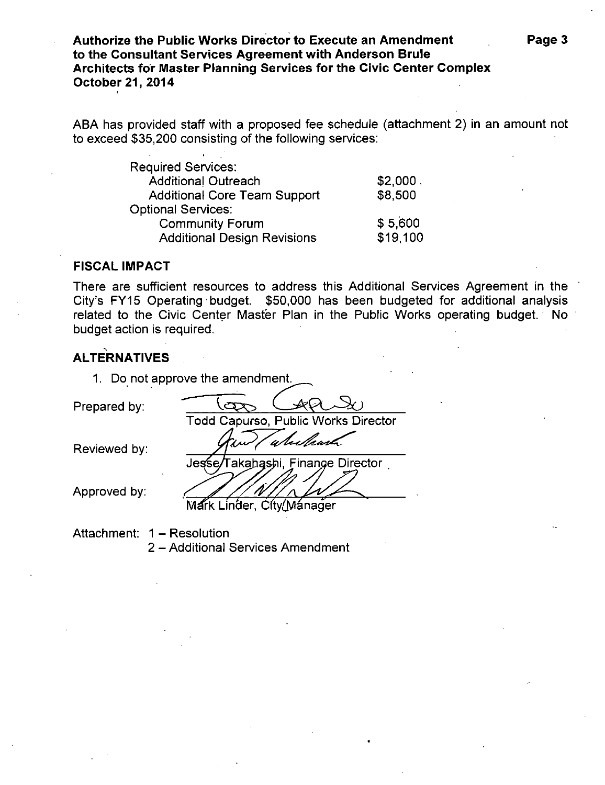# Authorize the Public Works Director to Execute an Amendment Page 3 to the Consultant Services Agreement with Anderson Brule Architects for Master Planning Services for the Civic Center Complex October 21, 2014

ABA has provided staff with a proposed fee schedule (attachment 2) in an amount not<br>to exceed \$35,200 consisting of the following services: to exceed \$35,200 consisting of the following services:

| <b>Required Services:</b>           |          |
|-------------------------------------|----------|
| <b>Additional Outreach</b>          | \$2,000. |
| <b>Additional Core Team Support</b> | \$8,500  |
| <b>Optional Services:</b>           |          |
| <b>Community Forum</b>              | \$5,600  |
| <b>Additional Design Revisions</b>  | \$19,100 |
|                                     |          |

## FISCAL IMPACT

There are sufficient resources to address this Additional Services Agreement in the FISCAL IMPACT<br>There are sufficient resources to address this Additional Services Agreement in the<br>City's FY15 Operating budget. \$50,000 has been budgeted for additional analysis<br>related to the Civic Center Master Plan in t related to the Civic Center Master Plan in the Public Works operating budget. No budget action is required

# ALTERNATIVES

| <b>FISCAL IMPACT</b>       |                                                                                                                                                                                 |
|----------------------------|---------------------------------------------------------------------------------------------------------------------------------------------------------------------------------|
| budget action is required. | There are sufficient resources to address this Additional<br>City's FY15 Operating budget. \$50,000 has been budget<br>related to the Civic Center Master Plan in the Public Wo |
| <b>ALTERNATIVES</b>        |                                                                                                                                                                                 |
|                            | 1. Do not approve the amendment.                                                                                                                                                |
| Prepared by:               |                                                                                                                                                                                 |
|                            | <b>Todd Capurso, Public Works Director</b>                                                                                                                                      |
| Reviewed by:               | ahedrach                                                                                                                                                                        |
|                            | Jesse/Takahashi, Finange Director                                                                                                                                               |
| Approved by:               |                                                                                                                                                                                 |
|                            | Mark Linder, City Manager                                                                                                                                                       |

Attachment:  $1 -$ Resolution 2 - Additional Services Amendment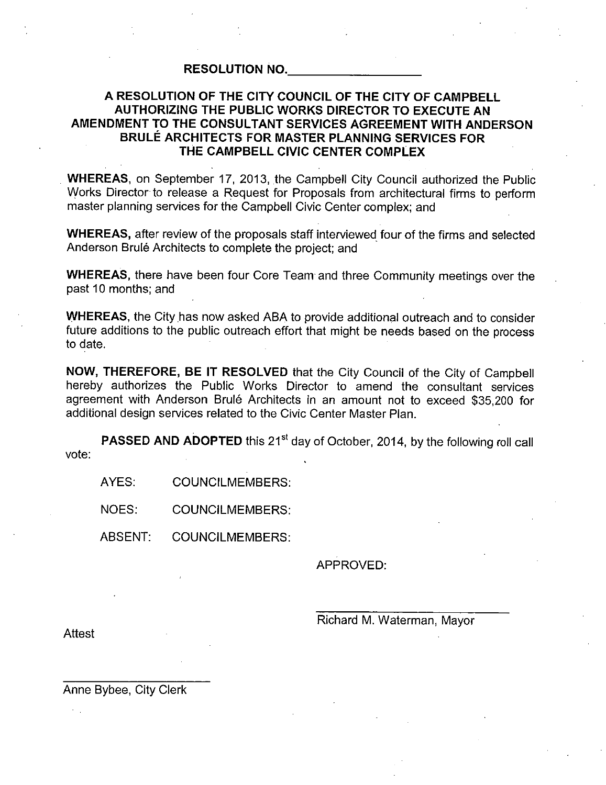### RESOLUTION NO

# A RESOLUTION OF THE CITY COUNCIL OF THE CITY OF CAMPBELL AUTHORIZING THE PUBLIC WORKS DIRECTOR TO EXECUTE AN AMENDMENT TO THE CONSULTANT SERVICES AGREEMENT WITH ANDERSON BRULE ARCHITECTS FOR MASTER PLANNING SERVICES FOR THE CAMPBELL CIVIC CENTER COMPLEX

WHEREAS, on September 17, 2013, the Campbell City Council authorized the Public Works Director to release <sup>a</sup> Request for Proposals from architectural firms to perform master planning services for the Campbell Civic Center complex; and

WHEREAS, after review of the proposals staff interviewed four of the firms and selected Anderson Brulé Architects to complete the project; and

WHEREAS, there have been four Core Team and three Community meetings over the past 10 months; and

WHEREAS, the City has now asked ABA to provide additional outreach and to consider future additions to the public outreach effort that might be needs based on the process to date

NOW, THEREFORE, BE IT RESOLVED that the City Council of the City of Campbell hereby authorizes the Public Works Director to amend the consultant services<br>agreement with Anderson Brulé Architects in an amount not to exceed \$35,200 for<br>additional design services related to the Civic Conter Master Pla additional design services related to the Civic Center Master Plan

**PASSED AND ADOPTED** this 21<sup>st</sup> day of October, 2014, by the following roll call vote

AYES: COUNCILMEMBERS:

NOES: COUNCILMEMBERS:

ABSENT: COUNCILMEMBERS:

#### APPROVED

Richard M. Waterman, Mayor

Attest

Anne Bybee, City Clerk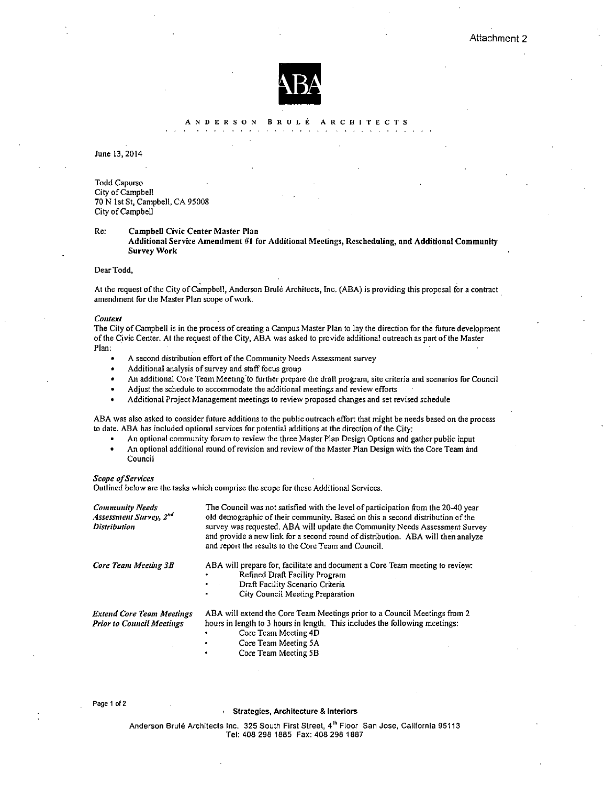

#### A N <sup>D</sup> <sup>E</sup> R <sup>S</sup> O <sup>N</sup> <sup>B</sup> <sup>R</sup> U <sup>L</sup> <sup>E</sup> A <sup>R</sup> <sup>C</sup> H <sup>I</sup> <sup>T</sup> <sup>E</sup> <sup>C</sup> <sup>T</sup> <sup>S</sup>

June 13, 2014

Todd Capurso City of Campbell <sup>70</sup> N Ist St Campbell CA 95008 City of Campbell

#### Re: Campbell Civic Center Master Plan Additional Service Amendment #1 for Additional Meetings, Rescheduling, and Additional Community SurveyWork

Dear Todd,

At the request of the City of Campbell, Anderson Brulé Architects, Inc. (ABA) is providing this proposal for a contract amendment for the Master Plan scope of work

#### **Context**

The City of Campbell is in the process of creating a Campus Master Plan to lay the direction for the future development of the Civic Center At the request of theCity ABA was asked to provide additional outreach as part of the Master Plan

- $\bullet$ A second distribution effort of the Community Needs Assessment survey
- Additional analysis of survey and staff focus group  $\bullet$
- An additional Core Team Meeting to further prepare the draft program, site criteria and scenarios for Council
- Adjust the schedule to accommodate he additional meetings and review efforts
- Additional Project Management meetings to review proposed changes and set revised schedule  $\bullet$

ABA was also asked to consider future additions to the public outreach effort that might be needs based on the process to date. ABA has included optional services for potential additions at the direction of the City:

- An optional community foram to review he three Master Plan Design Options and gather public input
- An optional additional round of revision and review of the Master Plan Design with the Core Team and Council

**Scope of Services** 

Outlined below are the tasks which comprise the scope for these Additional Services.

| <b>Community Needs</b><br>Assessment Survey, 2nd<br><b>Distribution</b> | The Council was not satisfied with the level of participation from the 20–40 year<br>old demographic of their community. Based on this a second distribution of the<br>survey was requested. ABA will update the Community Needs Assessment Survey<br>and provide a new link for a second round of distribution. ABA will then analyze<br>and report the results to the Core Team and Council. |
|-------------------------------------------------------------------------|------------------------------------------------------------------------------------------------------------------------------------------------------------------------------------------------------------------------------------------------------------------------------------------------------------------------------------------------------------------------------------------------|
| Core Team Meeting 3B                                                    | ABA will prepare for, facilitate and document a Core Team meeting to review.<br>Refined Draft Facility Program<br>٠<br>Draft Facility Scenario Criteria<br>$\bullet$ .<br><br>.<br>City Council Meeting Preparation                                                                                                                                                                            |
| <b>Extend Core Team Meetings</b><br><b>Prior to Council Meetings</b>    | ABA will extend the Core Team Meetings prior to a Council Meetings from 2<br>hours in length to 3 hours in length. This includes the following meetings:<br>Core Team Meeting 4D<br>Core Team Meeting 5A<br>٠<br>Core Team Meeting 5B<br>٠                                                                                                                                                     |

Page <sup>1</sup> of 2

#### Strategies, Architecture & Interiors

Anderson Brulé Architects Inc. 325 South First Street, 4th Floor San Jose, California 95113 Tel: 408 298 1885 Fax: 408 298 1887